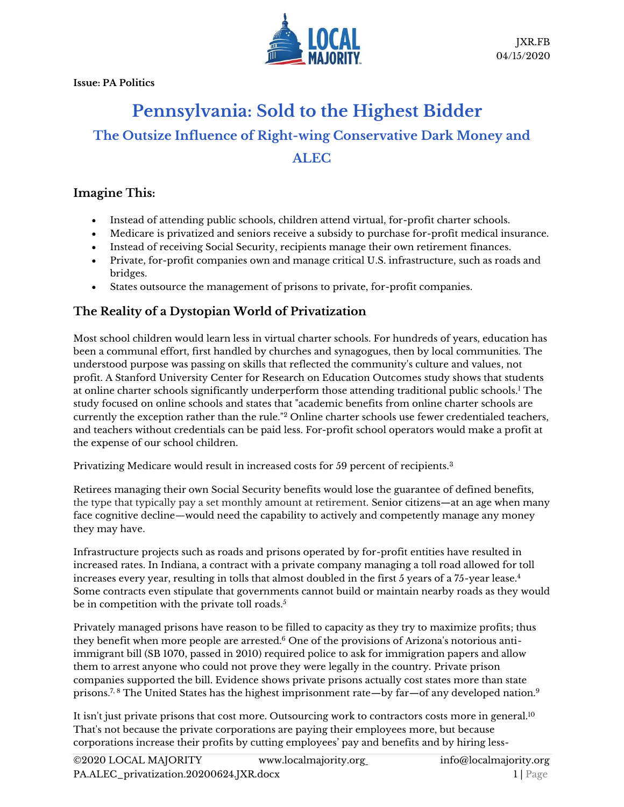

**Issue: PA Politics**

# **Pennsylvania: Sold to the Highest Bidder The Outsize Influence of Right-wing Conservative Dark Money and ALEC**

## **Imagine This:**

- Instead of attending public schools, children attend virtual, for-profit charter schools.
- Medicare is privatized and seniors receive a subsidy to purchase for-profit medical insurance.
- Instead of receiving Social Security, recipients manage their own retirement finances.
- Private, for-profit companies own and manage critical U.S. infrastructure, such as roads and bridges.
- States outsource the management of prisons to private, for-profit companies.

## **The Reality of a Dystopian World of Privatization**

Most school children would learn less in virtual charter schools. For hundreds of years, education has been a communal effort, first handled by churches and synagogues, then by local communities. The understood purpose was passing on skills that reflected the community's culture and values, not profit. A Stanford University Center for Research on Education Outcomes study shows that students at online charter schools significantly underperform those attending traditional public schools.<sup>1</sup> The study focused on online schools and states that "academic benefits from online charter schools are currently the exception rather than the rule."<sup>2</sup> Online charter schools use fewer credentialed teachers, and teachers without credentials can be paid less. For-profit school operators would make a profit at the expense of our school children.

Privatizing Medicare would result in increased costs for 59 percent of recipients.<sup>3</sup>

Retirees managing their own Social Security benefits would lose the guarantee of defined benefits, the type that typically pay a set monthly amount at retirement. Senior citizens—at an age when many face cognitive decline—would need the capability to actively and competently manage any money they may have.

Infrastructure projects such as roads and prisons operated by for-profit entities have resulted in increased rates. In Indiana, a contract with a private company managing a toll road allowed for toll increases every year, resulting in tolls that almost doubled in the first 5 years of a 75-year lease. $4$ Some contracts even stipulate that governments cannot build or maintain nearby roads as they would be in competition with the private toll roads.<sup>5</sup>

Privately managed prisons have reason to be filled to capacity as they try to maximize profits; thus they benefit when more people are arrested.<sup>6</sup> One of the provisions of Arizona's notorious antiimmigrant bill (SB 1070, passed in 2010) required police to ask for immigration papers and allow them to arrest anyone who could not prove they were legally in the country. Private prison companies supported the bill. Evidence shows private prisons actually cost states more than state prisons.7, <sup>8</sup> The United States has the highest imprisonment rate—by far—of any developed nation.<sup>9</sup>

It isn't just private prisons that cost more. Outsourcing work to contractors costs more in general.<sup>10</sup> That's not because the private corporations are paying their employees more, but because corporations increase their profits by cutting employees' pay and benefits and by hiring less-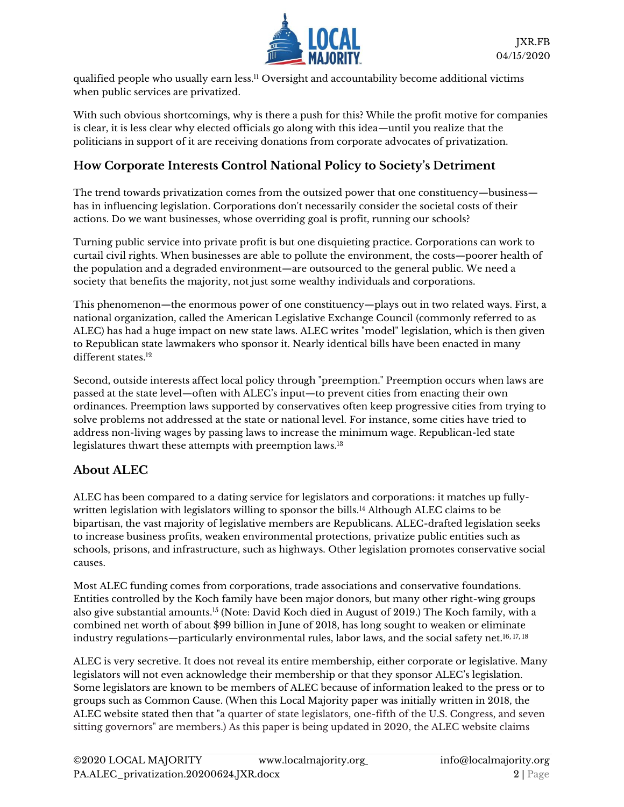

qualified people who usually earn less.<sup>11</sup> Oversight and accountability become additional victims when public services are privatized.

With such obvious shortcomings, why is there a push for this? While the profit motive for companies is clear, it is less clear why elected officials go along with this idea—until you realize that the politicians in support of it are receiving donations from corporate advocates of privatization.

## **How Corporate Interests Control National Policy to Society's Detriment**

The trend towards privatization comes from the outsized power that one constituency—business has in influencing legislation. Corporations don't necessarily consider the societal costs of their actions. Do we want businesses, whose overriding goal is profit, running our schools?

Turning public service into private profit is but one disquieting practice. Corporations can work to curtail civil rights. When businesses are able to pollute the environment, the costs—poorer health of the population and a degraded environment—are outsourced to the general public. We need a society that benefits the majority, not just some wealthy individuals and corporations.

This phenomenon—the enormous power of one constituency—plays out in two related ways. First, a national organization, called the American Legislative Exchange Council (commonly referred to as ALEC) has had a huge impact on new state laws. ALEC writes "model" legislation, which is then given to Republican state lawmakers who sponsor it. Nearly identical bills have been enacted in many different states.<sup>12</sup>

Second, outside interests affect local policy through "preemption." Preemption occurs when laws are passed at the state level—often with ALEC's input—to prevent cities from enacting their own ordinances. Preemption laws supported by conservatives often keep progressive cities from trying to solve problems not addressed at the state or national level. For instance, some cities have tried to address non-living wages by passing laws to increase the minimum wage. Republican-led state legislatures thwart these attempts with preemption laws. 13

## **About ALEC**

ALEC has been compared to a dating service for legislators and corporations: it matches up fullywritten legislation with legislators willing to sponsor the bills.<sup>14</sup> Although ALEC claims to be bipartisan, the vast majority of legislative members are Republicans. ALEC-drafted legislation seeks to increase business profits, weaken environmental protections, privatize public entities such as schools, prisons, and infrastructure, such as highways. Other legislation promotes conservative social causes.

Most ALEC funding comes from corporations, trade associations and conservative foundations. Entities controlled by the Koch family have been major donors, but many other right-wing groups also give substantial amounts.<sup>15</sup> (Note: David Koch died in August of 2019.) The Koch family, with a combined net worth of about \$99 billion in June of 2018, has long sought to weaken or eliminate industry regulations—particularly environmental rules, labor laws, and the social safety net.<sup>16, 17, 18</sup>

ALEC is very secretive. It does not reveal its entire membership, either corporate or legislative. Many legislators will not even acknowledge their membership or that they sponsor ALEC's legislation. Some legislators are known to be members of ALEC because of information leaked to the press or to groups such as Common Cause. (When this Local Majority paper was initially written in 2018, the ALEC website stated then that "a quarter of state legislators, one-fifth of the U.S. Congress, and seven sitting governors" are members.) As this paper is being updated in 2020, the ALEC website claims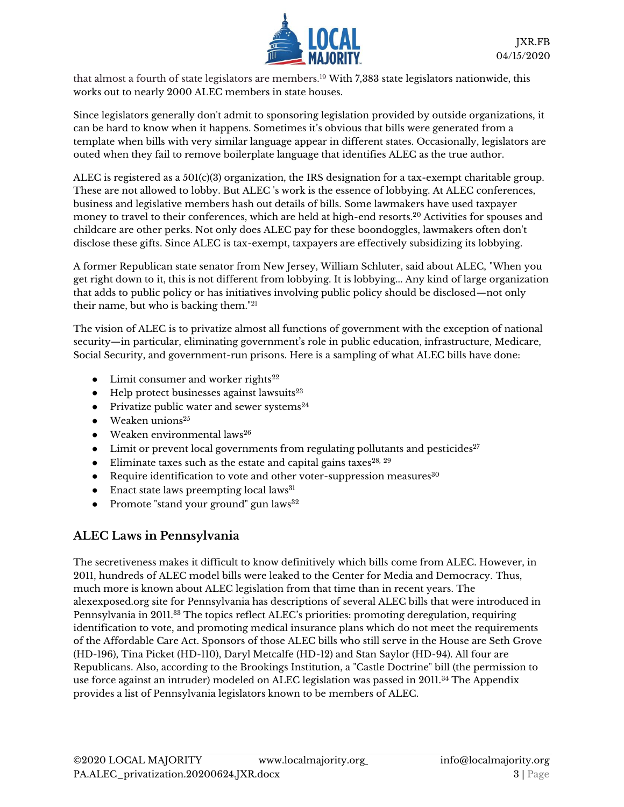

that almost a fourth of state legislators are members.<sup>19</sup> With 7,383 state legislators nationwide, this works out to nearly 2000 ALEC members in state houses.

Since legislators generally don't admit to sponsoring legislation provided by outside organizations, it can be hard to know when it happens. Sometimes it's obvious that bills were generated from a template when bills with very similar language appear in different states. Occasionally, legislators are outed when they fail to remove boilerplate language that identifies ALEC as the true author.

ALEC is registered as a  $501(c)(3)$  organization, the IRS designation for a tax-exempt charitable group. These are not allowed to lobby. But ALEC 's work is the essence of lobbying. At ALEC conferences, business and legislative members hash out details of bills. Some lawmakers have used taxpayer money to travel to their conferences, which are held at high-end resorts.<sup>20</sup> Activities for spouses and childcare are other perks. Not only does ALEC pay for these boondoggles, lawmakers often don't disclose these gifts. Since ALEC is tax-exempt, taxpayers are effectively subsidizing its lobbying.

A former Republican state senator from New Jersey, William Schluter, said about ALEC, "When you get right down to it, this is not different from lobbying. It is lobbying... Any kind of large organization that adds to public policy or has initiatives involving public policy should be disclosed—not only their name, but who is backing them."<sup>21</sup>

The vision of ALEC is to privatize almost all functions of government with the exception of national security—in particular, eliminating government's role in public education, infrastructure, Medicare, Social Security, and government-run prisons. Here is a sampling of what ALEC bills have done:

- $\bullet$  Limit consumer and worker rights<sup>22</sup>
- $\bullet$  Help protect businesses against lawsuits<sup>23</sup>
- Privatize public water and sewer systems $24$
- $\bullet$  Weaken unions<sup>25</sup>
- $\bullet$  Weaken environmental laws<sup>26</sup>
- Limit or prevent local governments from regulating pollutants and pesticides<sup>27</sup>
- Eliminate taxes such as the estate and capital gains taxes $^{28, 29}$
- Require identification to vote and other voter-suppression measures<sup>30</sup>
- $\bullet$  Enact state laws preempting local laws<sup>31</sup>
- Promote "stand your ground" gun laws $32$

# **ALEC Laws in Pennsylvania**

The secretiveness makes it difficult to know definitively which bills come from ALEC. However, in 2011, hundreds of ALEC model bills were leaked to the Center for Media and Democracy. Thus, much more is known about ALEC legislation from that time than in recent years. The alexexposed.org site for Pennsylvania has descriptions of several ALEC bills that were introduced in Pennsylvania in 2011.<sup>33</sup> The topics reflect ALEC's priorities: promoting deregulation, requiring identification to vote, and promoting medical insurance plans which do not meet the requirements of the Affordable Care Act. Sponsors of those ALEC bills who still serve in the House are Seth Grove (HD-196), Tina Picket (HD-110), Daryl Metcalfe (HD-12) and Stan Saylor (HD-94). All four are Republicans. Also, according to the Brookings Institution, a "Castle Doctrine" bill (the permission to use force against an intruder) modeled on ALEC legislation was passed in 2011.<sup>34</sup> The Appendix provides a list of Pennsylvania legislators known to be members of ALEC.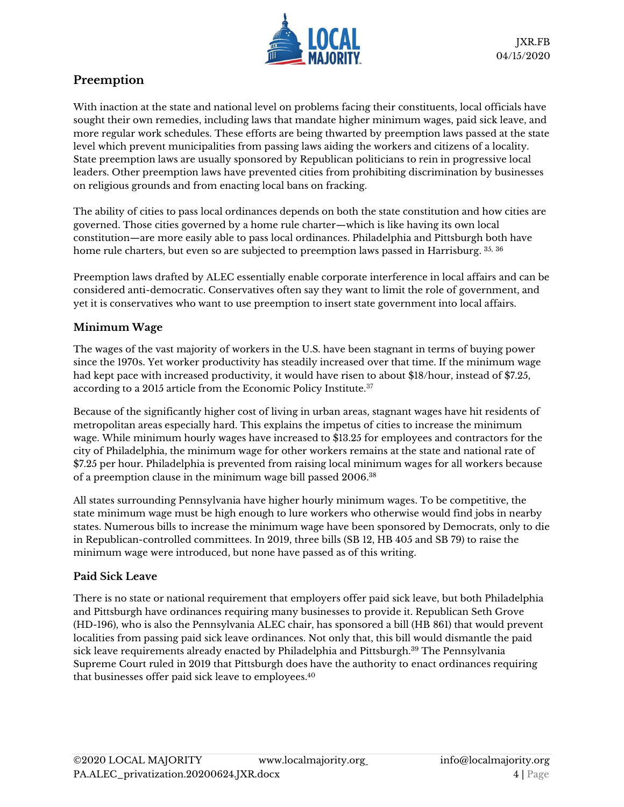

## **Preemption**

With inaction at the state and national level on problems facing their constituents, local officials have sought their own remedies, including laws that mandate higher minimum wages, paid sick leave, and more regular work schedules. These efforts are being thwarted by preemption laws passed at the state level which prevent municipalities from passing laws aiding the workers and citizens of a locality. State preemption laws are usually sponsored by Republican politicians to rein in progressive local leaders. Other preemption laws have prevented cities from prohibiting discrimination by businesses on religious grounds and from enacting local bans on fracking.

The ability of cities to pass local ordinances depends on both the state constitution and how cities are governed. Those cities governed by a home rule charter—which is like having its own local constitution—are more easily able to pass local ordinances. Philadelphia and Pittsburgh both have home rule charters, but even so are subjected to preemption laws passed in Harrisburg.  $^{\rm 35,\,36}$ 

Preemption laws drafted by ALEC essentially enable corporate interference in local affairs and can be considered anti-democratic. Conservatives often say they want to limit the role of government, and yet it is conservatives who want to use preemption to insert state government into local affairs.

### **Minimum Wage**

The wages of the vast majority of workers in the U.S. have been stagnant in terms of buying power since the 1970s. Yet worker productivity has steadily increased over that time. If the minimum wage had kept pace with increased productivity, it would have risen to about \$18/hour, instead of \$7.25, according to a 2015 article from the Economic Policy Institute.<sup>37</sup>

Because of the significantly higher cost of living in urban areas, stagnant wages have hit residents of metropolitan areas especially hard. This explains the impetus of cities to increase the minimum wage. While minimum hourly wages have increased to \$13.25 for employees and contractors for the city of Philadelphia, the minimum wage for other workers remains at the state and national rate of \$7.25 per hour. Philadelphia is prevented from raising local minimum wages for all workers because of a preemption clause in the minimum wage bill passed 2006. 38

All states surrounding Pennsylvania have higher hourly minimum wages. To be competitive, the state minimum wage must be high enough to lure workers who otherwise would find jobs in nearby states. Numerous bills to increase the minimum wage have been sponsored by Democrats, only to die in Republican-controlled committees. In 2019, three bills (SB 12, HB 405 and SB 79) to raise the minimum wage were introduced, but none have passed as of this writing.

#### **Paid Sick Leave**

There is no state or national requirement that employers offer paid sick leave, but both Philadelphia and Pittsburgh have ordinances requiring many businesses to provide it. Republican Seth Grove (HD-196), who is also the Pennsylvania ALEC chair, has sponsored a bill (HB 861) that would prevent localities from passing paid sick leave ordinances. Not only that, this bill would dismantle the paid sick leave requirements already enacted by Philadelphia and Pittsburgh.<sup>39</sup> The Pennsylvania Supreme Court ruled in 2019 that Pittsburgh does have the authority to enact ordinances requiring that businesses offer paid sick leave to employees.40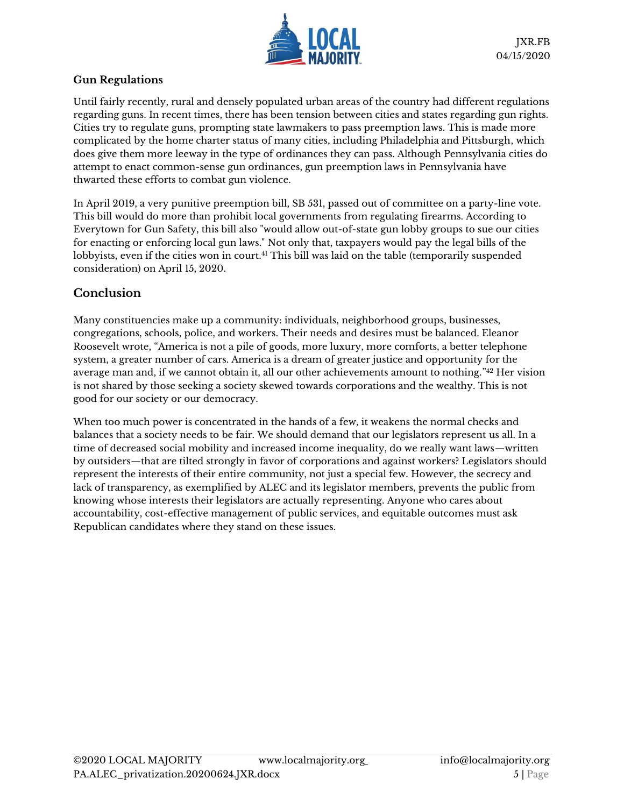

#### **Gun Regulations**

Until fairly recently, rural and densely populated urban areas of the country had different regulations regarding guns. In recent times, there has been tension between cities and states regarding gun rights. Cities try to regulate guns, prompting state lawmakers to pass preemption laws. This is made more complicated by the home charter status of many cities, including Philadelphia and Pittsburgh, which does give them more leeway in the type of ordinances they can pass. Although Pennsylvania cities do attempt to enact common-sense gun ordinances, gun preemption laws in Pennsylvania have thwarted these efforts to combat gun violence.

In April 2019, a very punitive preemption bill, SB 531, passed out of committee on a party-line vote. This bill would do more than prohibit local governments from regulating firearms. According to Everytown for Gun Safety, this bill also "would allow out-of-state gun lobby groups to sue our cities for enacting or enforcing local gun laws." Not only that, taxpayers would pay the legal bills of the lobbyists, even if the cities won in court. <sup>41</sup> This bill was laid on the table (temporarily suspended consideration) on April 15, 2020.

# **Conclusion**

Many constituencies make up a community: individuals, neighborhood groups, businesses, congregations, schools, police, and workers. Their needs and desires must be balanced. Eleanor Roosevelt wrote, "America is not a pile of goods, more luxury, more comforts, a better telephone system, a greater number of cars. America is a dream of greater justice and opportunity for the average man and, if we cannot obtain it, all our other achievements amount to nothing." <sup>42</sup> Her vision is not shared by those seeking a society skewed towards corporations and the wealthy. This is not good for our society or our democracy.

When too much power is concentrated in the hands of a few, it weakens the normal checks and balances that a society needs to be fair. We should demand that our legislators represent us all. In a time of decreased social mobility and increased income inequality, do we really want laws—written by outsiders—that are tilted strongly in favor of corporations and against workers? Legislators should represent the interests of their entire community, not just a special few. However, the secrecy and lack of transparency, as exemplified by ALEC and its legislator members, prevents the public from knowing whose interests their legislators are actually representing. Anyone who cares about accountability, cost-effective management of public services, and equitable outcomes must ask Republican candidates where they stand on these issues.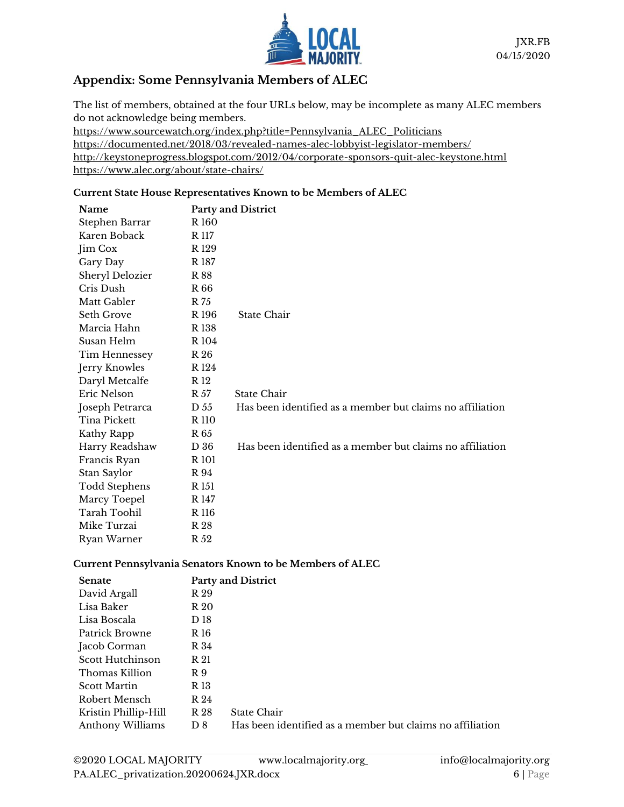

## **Appendix: Some Pennsylvania Members of ALEC**

The list of members, obtained at the four URLs below, may be incomplete as many ALEC members do not acknowledge being members.

[https://www.sourcewatch.org/index.php?title=Pennsylvania\\_ALEC\\_Politicians](https://www.sourcewatch.org/index.php?title=Pennsylvania_ALEC_Politicians) <https://documented.net/2018/03/revealed-names-alec-lobbyist-legislator-members/> <http://keystoneprogress.blogspot.com/2012/04/corporate-sponsors-quit-alec-keystone.html> <https://www.alec.org/about/state-chairs/>

#### **Current State House Representatives Known to be Members of ALEC**

|                  | <b>Party and District</b>                                 |
|------------------|-----------------------------------------------------------|
| R 160            |                                                           |
| R 117            |                                                           |
| R <sub>129</sub> |                                                           |
| R 187            |                                                           |
| R 88             |                                                           |
| R <sub>66</sub>  |                                                           |
| R 75             |                                                           |
| R <sub>196</sub> | State Chair                                               |
| R <sub>138</sub> |                                                           |
| R <sub>104</sub> |                                                           |
| R 26             |                                                           |
| R 124            |                                                           |
| R 12             |                                                           |
| R 57             | <b>State Chair</b>                                        |
| D 55             | Has been identified as a member but claims no affiliation |
| R 110            |                                                           |
| R 65             |                                                           |
| D 36             | Has been identified as a member but claims no affiliation |
| R <sub>101</sub> |                                                           |
| R 94             |                                                           |
| R 151            |                                                           |
| R 147            |                                                           |
| R 116            |                                                           |
| R 28             |                                                           |
| R 52             |                                                           |
|                  |                                                           |

#### **Current Pennsylvania Senators Known to be Members of ALEC**

| <b>Senate</b>        |                | <b>Party and District</b>                                 |
|----------------------|----------------|-----------------------------------------------------------|
| David Argall         | R 29           |                                                           |
| Lisa Baker           | R 20           |                                                           |
| Lisa Boscala         | D 18           |                                                           |
| Patrick Browne       | R 16           |                                                           |
| Jacob Corman         | R 34           |                                                           |
| Scott Hutchinson     | R 21           |                                                           |
| Thomas Killion       | R 9            |                                                           |
| <b>Scott Martin</b>  | R 13           |                                                           |
| Robert Mensch        | R 24           |                                                           |
| Kristin Phillip-Hill | R 28           | State Chair                                               |
| Anthony Williams     | D <sub>8</sub> | Has been identified as a member but claims no affiliation |